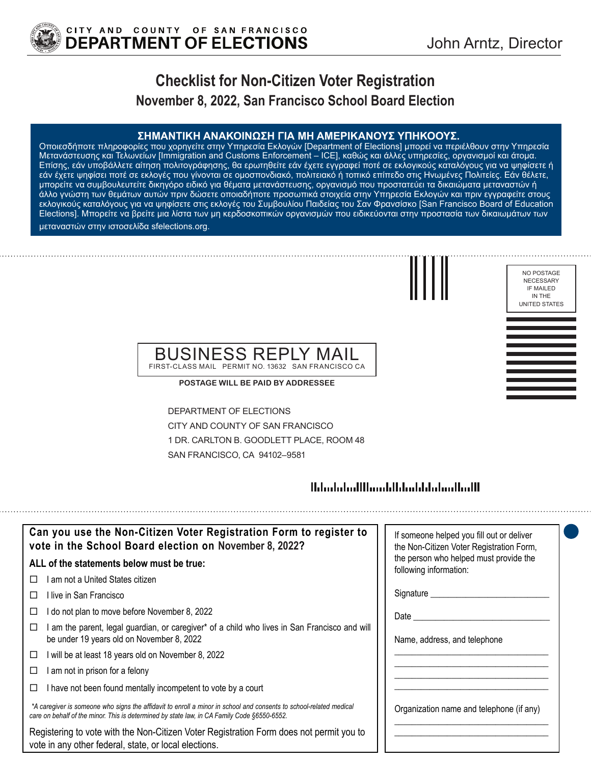

NO POSTAGE NECESSARY IF MAILED IN THE UNITED STATES

# **Checklist for Non-Citizen Voter Registration November 8, 2022, San Francisco School Board Election**

**ΣΗΜΑΝΤΙΚΗ ΑΝΑΚΟΙΝΩΣΗ ΓΙΑ ΜΗ ΑΜΕΡΙΚΑΝΟΥΣ ΥΠΗΚΟΟΥΣ.** Οποιεσδήποτε πληροφορίες που χορηγείτε στην Υπηρεσία Εκλογών [Department of Elections] μπορεί να περιέλθουν στην Υπηρεσία Μετανάστευσης και Τελωνείων [Immigration and Customs Enforcement – ICE], καθώς και άλλες υπηρεσίες, οργανισμοί και άτομα. Επίσης, εάν υποβάλλετε αίτηση πολιτογράφησης, θα ερωτηθείτε εάν έχετε εγγραφεί ποτέ σε εκλογικούς καταλόγους για να ψηφίσετε ή εάν έχετε ψηφίσει ποτέ σε εκλογές που γίνονται σε ομοσπονδιακό, πολιτειακό ή τοπικό επίπεδο στις Ηνωμένες Πολιτείες. Εάν θέλετε, μπορείτε να συμβουλευτείτε δικηγόρο ειδικό για θέματα μετανάστευσης, οργανισμό που προστατεύει τα δικαιώματα μεταναστών ή άλλο γνώστη των θεμάτων αυτών πριν δώσετε οποιαδήποτε προσωπικά στοιχεία στην Υπηρεσία Εκλογών και πριν εγγραφείτε στους εκλογικούς καταλόγους για να ψηφίσετε στις εκλογές του Συμβουλίου Παιδείας του Σαν Φρανσίσκο [San Francisco Board of Education Elections]. Μπορείτε να βρείτε μια λίστα των μη κερδοσκοπικών οργανισμών που ειδικεύονται στην προστασία των δικαιωμάτων των μεταναστών στην ιστοσελίδα sfelections.org.

### BUSINESS REPLY MAIL FIRST-CLASS MAIL PERMIT NO. 13632 SAN FRANCISCO CA

**POSTAGE WILL BE PAID BY ADDRESSEE**

DEPARTMENT OF ELECTIONS CITY AND COUNTY OF SAN FRANCISCO 1 DR. CARLTON B. GOODLETT PLACE, ROOM 48 SAN FRANCISCO, CA 94102–9581

## 

| Can you use the Non-Citizen Voter Registration Form to register to<br>vote in the School Board election on November 8, 2022?                                                                                      | If someone helped you fill out or deliver<br>the Non-Citizen Voter Registration Form, |
|-------------------------------------------------------------------------------------------------------------------------------------------------------------------------------------------------------------------|---------------------------------------------------------------------------------------|
| ALL of the statements below must be true:                                                                                                                                                                         | the person who helped must provide the<br>following information:                      |
| I am not a United States citizen                                                                                                                                                                                  |                                                                                       |
| l live in San Francisco                                                                                                                                                                                           | Signature __________                                                                  |
| I do not plan to move before November 8, 2022<br>□                                                                                                                                                                | Date                                                                                  |
| am the parent, legal guardian, or caregiver* of a child who lives in San Francisco and will<br>be under 19 years old on November 8, 2022                                                                          | Name, address, and telephone                                                          |
| I will be at least 18 years old on November 8, 2022<br>□                                                                                                                                                          |                                                                                       |
| I am not in prison for a felony<br>□                                                                                                                                                                              |                                                                                       |
| I have not been found mentally incompetent to vote by a court                                                                                                                                                     |                                                                                       |
| *A caregiver is someone who signs the affidavit to enroll a minor in school and consents to school-related medical<br>care on behalf of the minor. This is determined by state law, in CA Family Code §6550-6552. | Organization name and telephone (if any)                                              |
| Registering to vote with the Non-Citizen Voter Registration Form does not permit you to<br>vote in any other federal, state, or local elections.                                                                  |                                                                                       |